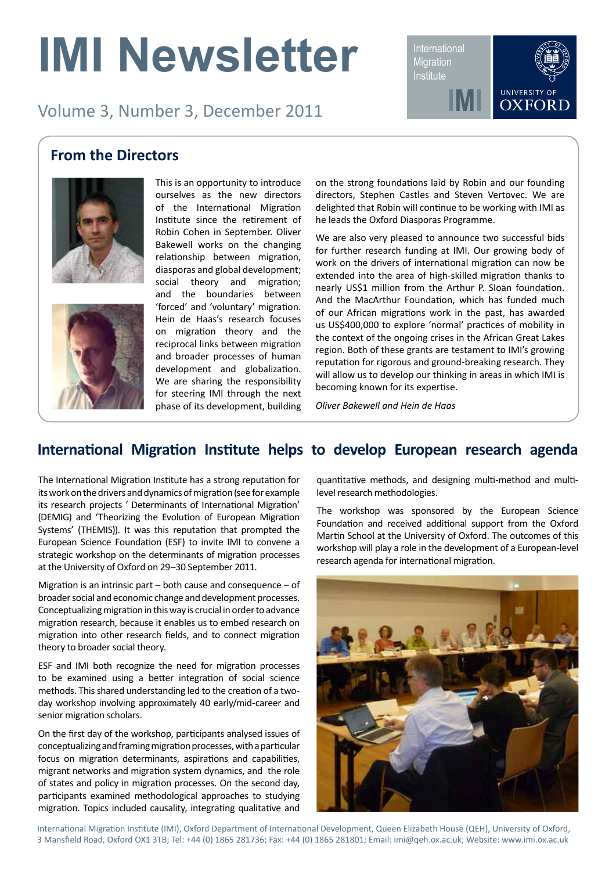# **IMI Newsletter**

Volume 3, Number 3, December 2011

International **Migration Institute** 

**IMI**



#### **From the Directors**





This is an opportunity to introduce ourselves as the new directors of the International Migration Institute since the retirement of Robin Cohen in September. Oliver Bakewell works on the changing relationship between migration, diasporas and global development; social theory and migration; and the boundaries between 'forced' and 'voluntary' migration. Hein de Haas's research focuses on migration theory and the reciprocal links between migration and broader processes of human development and globalization. We are sharing the responsibility for steering IMI through the next phase of its development, building

on the strong foundations laid by Robin and our founding directors, Stephen Castles and Steven Vertovec. We are delighted that Robin will continue to be working with IMI as he leads the Oxford Diasporas Programme.

We are also very pleased to announce two successful bids for further research funding at IMI. Our growing body of work on the drivers of international migration can now be extended into the area of high-skilled migration thanks to nearly US\$1 million from the Arthur P. Sloan foundation. And the MacArthur Foundation, which has funded much of our African migrations work in the past, has awarded us US\$400,000 to explore 'normal' practices of mobility in the context of the ongoing crises in the African Great Lakes region. Both of these grants are testament to IMI's growing reputation for rigorous and ground-breaking research. They will allow us to develop our thinking in areas in which IMI is becoming known for its expertise.

*Oliver Bakewell and Hein de Haas*

#### **International Migration Institute helps to develop European research agenda**

The International Migration Institute has a strong reputation for its work on the drivers and dynamics of migration (see for example its research projects ' Determinants of International Migration' (DEMIG) and 'Theorizing the Evolution of European Migration Systems' (THEMIS)). It was this reputation that prompted the European Science Foundation (ESF) to invite IMI to convene a strategic workshop on the determinants of migration processes at the University of Oxford on 29–30 September 2011.

Migration is an intrinsic part – both cause and consequence – of broader social and economic change and development processes. Conceptualizing migration in this way is crucial in order to advance migration research, because it enables us to embed research on migration into other research fields, and to connect migration theory to broader social theory.

ESF and IMI both recognize the need for migration processes to be examined using a better integration of social science methods. This shared understanding led to the creation of a twoday workshop involving approximately 40 early/mid-career and senior migration scholars.

On the first day of the workshop, participants analysed issues of conceptualizing and framing migration processes, with a particular focus on migration determinants, aspirations and capabilities, migrant networks and migration system dynamics, and the role of states and policy in migration processes. On the second day, participants examined methodological approaches to studying migration. Topics included causality, integrating qualitative and

quantitative methods, and designing multi-method and multilevel research methodologies.

The workshop was sponsored by the European Science Foundation and received additional support from the Oxford Martin School at the University of Oxford. The outcomes of this workshop will play a role in the development of a European-level research agenda for international migration.



International Migration Institute (IMI), Oxford Department of International Development, Queen Elizabeth House (QEH), University of Oxford, 3 Mansfield Road, Oxford OX1 3TB; Tel: +44 (0) 1865 281736; Fax: +44 (0) 1865 281801; Email: imi@qeh.ox.ac.uk; Website: www.imi.ox.ac.uk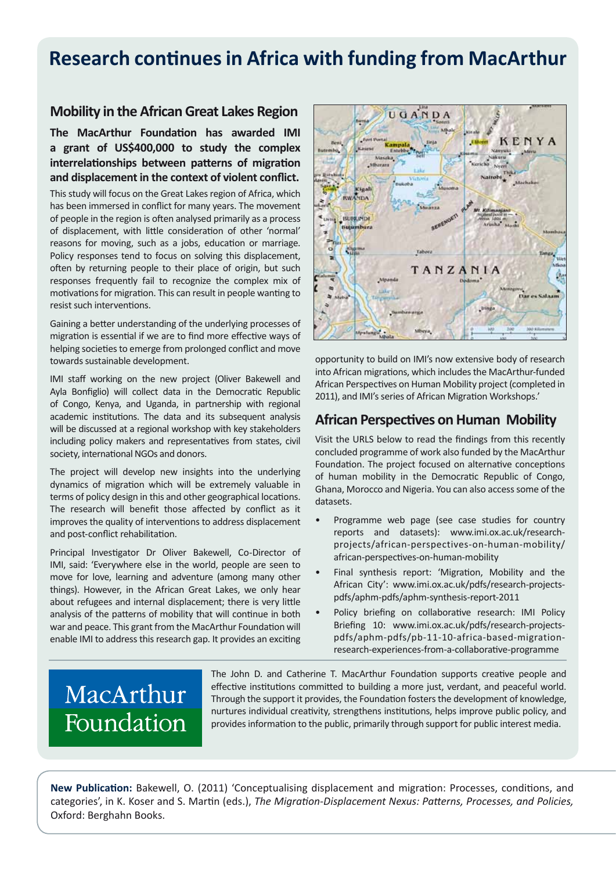## **Research continues in Africa with funding from MacArthur**

#### **Mobility in the African Great Lakes Region**

**The MacArthur Foundation has awarded IMI a grant of US\$400,000 to study the complex interrelationships between patterns of migration and displacement in the context of violent conflict.** 

This study will focus on the Great Lakes region of Africa, which has been immersed in conflict for many years. The movement of people in the region is often analysed primarily as a process of displacement, with little consideration of other 'normal' reasons for moving, such as a jobs, education or marriage. Policy responses tend to focus on solving this displacement, often by returning people to their place of origin, but such responses frequently fail to recognize the complex mix of motivations for migration. This can result in people wanting to resist such interventions.

Gaining a better understanding of the underlying processes of migration is essential if we are to find more effective ways of helping societies to emerge from prolonged conflict and move towards sustainable development.

IMI staff working on the new project (Oliver Bakewell and Ayla Bonfiglio) will collect data in the Democratic Republic of Congo, Kenya, and Uganda, in partnership with regional academic institutions. The data and its subsequent analysis will be discussed at a regional workshop with key stakeholders including policy makers and representatives from states, civil society, international NGOs and donors.

The project will develop new insights into the underlying dynamics of migration which will be extremely valuable in terms of policy design in this and other geographical locations. The research will benefit those affected by conflict as it improves the quality of interventions to address displacement and post-conflict rehabilitation.

Principal Investigator Dr Oliver Bakewell, Co-Director of IMI, said: 'Everywhere else in the world, people are seen to move for love, learning and adventure (among many other things). However, in the African Great Lakes, we only hear about refugees and internal displacement; there is very little analysis of the patterns of mobility that will continue in both war and peace. This grant from the MacArthur Foundation will enable IMI to address this research gap. It provides an exciting



opportunity to build on IMI's now extensive body of research into African migrations, which includes the MacArthur-funded African Perspectives on Human Mobility project (completed in 2011), and IMI's series of African Migration Workshops.'

#### **African Perspectives on Human Mobility**

Visit the URLS below to read the findings from this recently concluded programme of work also funded by the MacArthur Foundation. The project focused on alternative conceptions of human mobility in the Democratic Republic of Congo, Ghana, Morocco and Nigeria. You can also access some of the datasets.

- Programme web page (see case studies for country reports and datasets): www.imi.ox.ac.uk/researchprojects/african-perspectives-on-human-mobility/ african-perspectives-on-human-mobility
- Final synthesis report: 'Migration, Mobility and the African City': www.imi.ox.ac.uk/pdfs/research-projectspdfs/aphm-pdfs/aphm-synthesis-report-2011
- Policy briefing on collaborative research: IMI Policy Briefing 10: www.imi.ox.ac.uk/pdfs/research-projectspdfs/aphm-pdfs/pb-11-10-africa-based-migrationresearch-experiences-from-a-collaborative-programme

## MacArthur Foundation

The John D. and Catherine T. MacArthur Foundation supports creative people and effective institutions committed to building a more just, verdant, and peaceful world. Through the support it provides, the Foundation fosters the development of knowledge, nurtures individual creativity, strengthens institutions, helps improve public policy, and provides information to the public, primarily through support for public interest media.

**New Publication:** Bakewell, O. (2011) 'Conceptualising displacement and migration: Processes, conditions, and categories', in K. Koser and S. Martin (eds.), *The Migration-Displacement Nexus: Patterns, Processes, and Policies,* Oxford: Berghahn Books.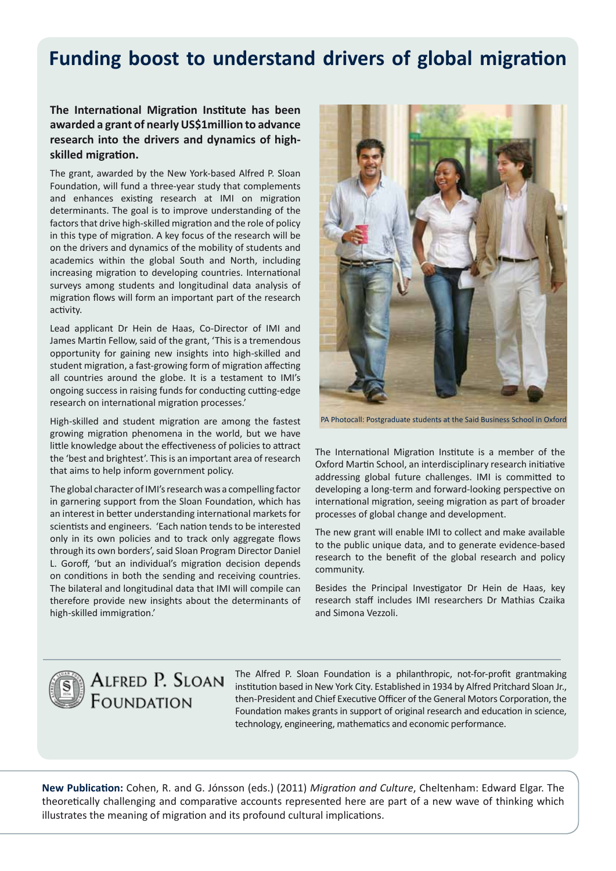## **Funding boost to understand drivers of global migration**

#### **The International Migration Institute has been awarded a grant of nearly US\$1million to advance research into the drivers and dynamics of highskilled migration.**

The grant, awarded by the New York-based Alfred P. Sloan Foundation, will fund a three-year study that complements and enhances existing research at IMI on migration determinants. The goal is to improve understanding of the factors that drive high‐skilled migration and the role of policy in this type of migration. A key focus of the research will be on the drivers and dynamics of the mobility of students and academics within the global South and North, including increasing migration to developing countries. International surveys among students and longitudinal data analysis of migration flows will form an important part of the research activity.

Lead applicant Dr Hein de Haas, Co-Director of IMI and James Martin Fellow, said of the grant, 'This is a tremendous opportunity for gaining new insights into high-skilled and student migration, a fast-growing form of migration affecting all countries around the globe. It is a testament to IMI's ongoing success in raising funds for conducting cutting-edge research on international migration processes.'

High-skilled and student migration are among the fastest growing migration phenomena in the world, but we have little knowledge about the effectiveness of policies to attract the 'best and brightest'. This is an important area of research that aims to help inform government policy.

The global character of IMI's research was a compelling factor in garnering support from the Sloan Foundation, which has an interest in better understanding international markets for scientists and engineers. 'Each nation tends to be interested only in its own policies and to track only aggregate flows through its own borders', said Sloan Program Director Daniel L. Goroff, 'but an individual's migration decision depends on conditions in both the sending and receiving countries. The bilateral and longitudinal data that IMI will compile can therefore provide new insights about the determinants of high-skilled immigration.'



PA Photocall: Postgraduate students at the Said Business School in Oxford

The International Migration Institute is a member of the Oxford Martin School, an interdisciplinary research initiative addressing global future challenges. IMI is committed to developing a long-term and forward-looking perspective on international migration, seeing migration as part of broader processes of global change and development.

The new grant will enable IMI to collect and make available to the public unique data, and to generate evidence-based research to the benefit of the global research and policy community.

Besides the Principal Investigator Dr Hein de Haas, key research staff includes IMI researchers Dr Mathias Czaika and Simona Vezzoli.



### ALFRED P. SLOAN FOUNDATION

The Alfred P. Sloan Foundation is a philanthropic, not-for-profit grantmaking institution based in New York City. Established in 1934 by Alfred Pritchard Sloan Jr., then-President and Chief Executive Officer of the General Motors Corporation, the Foundation makes grants in support of original research and education in science, technology, engineering, mathematics and economic performance.

**New Publication:** Cohen, R. and G. Jónsson (eds.) (2011) *Migration and Culture*, Cheltenham: Edward Elgar. The theoretically challenging and comparative accounts represented here are part of a new wave of thinking which illustrates the meaning of migration and its profound cultural implications.